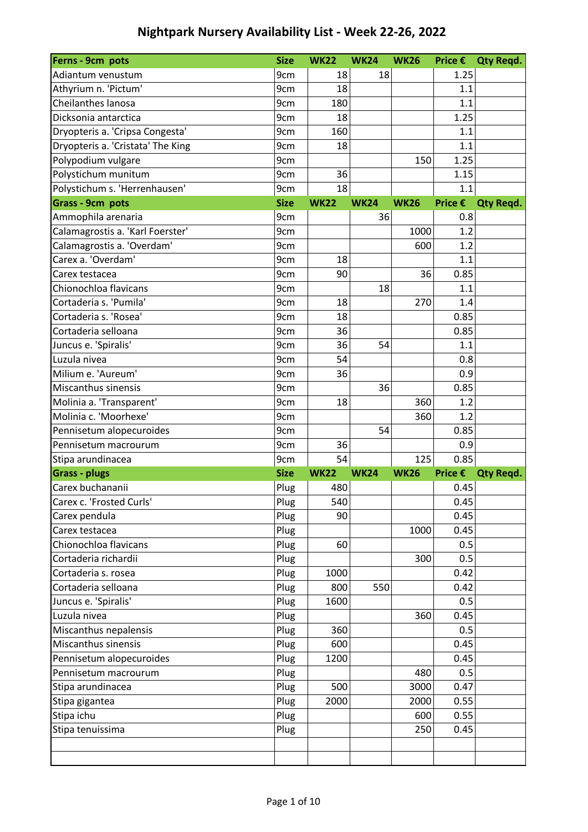| Ferns - 9cm pots                  | <b>Size</b> | <b>WK22</b> | <b>WK24</b> | <b>WK26</b> | Price $\epsilon$ | <b>Qty Regd.</b> |
|-----------------------------------|-------------|-------------|-------------|-------------|------------------|------------------|
| Adiantum venustum                 | 9cm         | 18          | 18          |             | 1.25             |                  |
| Athyrium n. 'Pictum'              | 9cm         | 18          |             |             | 1.1              |                  |
| Cheilanthes lanosa                | 9cm         | 180         |             |             | 1.1              |                  |
| Dicksonia antarctica              | 9cm         | 18          |             |             | 1.25             |                  |
| Dryopteris a. 'Cripsa Congesta'   | 9cm         | 160         |             |             | 1.1              |                  |
| Dryopteris a. 'Cristata' The King | 9cm         | 18          |             |             | 1.1              |                  |
| Polypodium vulgare                | 9cm         |             |             | 150         | 1.25             |                  |
| Polystichum munitum               | 9cm         | 36          |             |             | 1.15             |                  |
| Polystichum s. 'Herrenhausen'     | 9cm         | 18          |             |             | 1.1              |                  |
| Grass - 9cm pots                  | <b>Size</b> | <b>WK22</b> | <b>WK24</b> | <b>WK26</b> | Price €          | <b>Qty Regd.</b> |
| Ammophila arenaria                | 9cm         |             | 36          |             | 0.8              |                  |
| Calamagrostis a. 'Karl Foerster'  | 9cm         |             |             | 1000        | 1.2              |                  |
| Calamagrostis a. 'Overdam'        | 9cm         |             |             | 600         | 1.2              |                  |
| Carex a. 'Overdam'                | 9cm         | 18          |             |             | 1.1              |                  |
| Carex testacea                    | 9cm         | 90          |             | 36          | 0.85             |                  |
| Chionochloa flavicans             | 9cm         |             | 18          |             | 1.1              |                  |
| Cortaderia s. 'Pumila'            | 9cm         | 18          |             | 270         | 1.4              |                  |
| Cortaderia s. 'Rosea'             | 9cm         | 18          |             |             | 0.85             |                  |
| Cortaderia selloana               | 9cm         | 36          |             |             | 0.85             |                  |
| Juncus e. 'Spiralis'              | 9cm         | 36          | 54          |             | 1.1              |                  |
| Luzula nivea                      | 9cm         | 54          |             |             | 0.8              |                  |
| Milium e. 'Aureum'                | 9cm         | 36          |             |             | 0.9              |                  |
| Miscanthus sinensis               | 9cm         |             | 36          |             | 0.85             |                  |
| Molinia a. 'Transparent'          | 9cm         | 18          |             | 360         | 1.2              |                  |
| Molinia c. 'Moorhexe'             | 9cm         |             |             | 360         | 1.2              |                  |
| Pennisetum alopecuroides          | 9cm         |             | 54          |             | 0.85             |                  |
| Pennisetum macrourum              | 9cm         | 36          |             |             | 0.9              |                  |
| Stipa arundinacea                 | 9cm         | 54          |             | 125         | 0.85             |                  |
| <b>Grass - plugs</b>              | <b>Size</b> | <b>WK22</b> | <b>WK24</b> | <b>WK26</b> | Price €          | <b>Qty Regd.</b> |
| Carex buchananii                  | Plug        | 480         |             |             | 0.45             |                  |
| Carex c. 'Frosted Curls'          | Plug        | 540         |             |             | 0.45             |                  |
| Carex pendula                     | Plug        | 90          |             |             | 0.45             |                  |
| Carex testacea                    | Plug        |             |             | 1000        | 0.45             |                  |
| Chionochloa flavicans             | Plug        | 60          |             |             | 0.5              |                  |
| Cortaderia richardii              | Plug        |             |             | 300         | 0.5              |                  |
| Cortaderia s. rosea               | Plug        | 1000        |             |             | 0.42             |                  |
| Cortaderia selloana               | Plug        | 800         | 550         |             | 0.42             |                  |
| Juncus e. 'Spiralis'              | Plug        | 1600        |             |             | 0.5              |                  |
| Luzula nivea                      | Plug        |             |             | 360         | 0.45             |                  |
| Miscanthus nepalensis             | Plug        | 360         |             |             | 0.5              |                  |
| Miscanthus sinensis               | Plug        | 600         |             |             | 0.45             |                  |
| Pennisetum alopecuroides          | Plug        | 1200        |             |             | 0.45             |                  |
| Pennisetum macrourum              | Plug        |             |             | 480         | 0.5              |                  |
| Stipa arundinacea                 | Plug        | 500         |             | 3000        | 0.47             |                  |
| Stipa gigantea                    | Plug        | 2000        |             | 2000        | 0.55             |                  |
| Stipa ichu                        | Plug        |             |             | 600         | 0.55             |                  |
| Stipa tenuissima                  | Plug        |             |             | 250         | 0.45             |                  |
|                                   |             |             |             |             |                  |                  |
|                                   |             |             |             |             |                  |                  |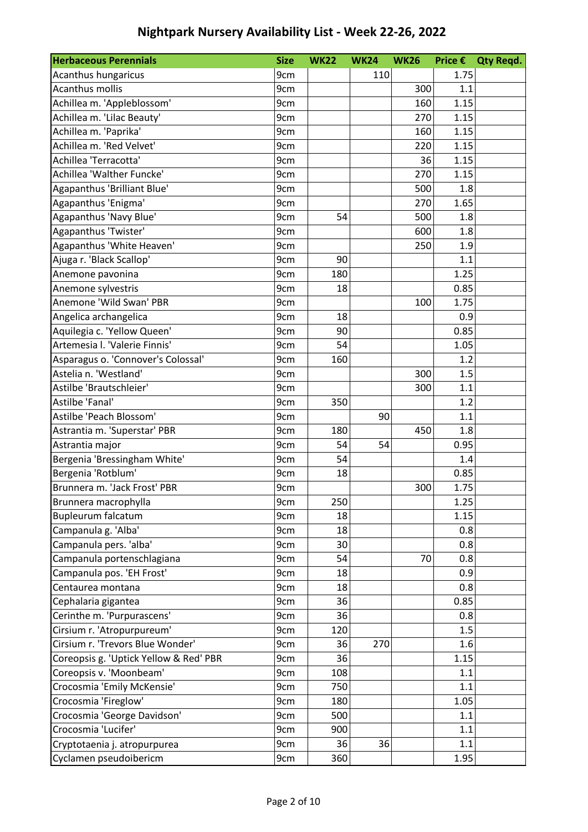| <b>Herbaceous Perennials</b>           | <b>Size</b> | <b>WK22</b> | <b>WK24</b> | <b>WK26</b> |      | Price € Qty Reqd. |
|----------------------------------------|-------------|-------------|-------------|-------------|------|-------------------|
| Acanthus hungaricus                    | 9cm         |             | 110         |             | 1.75 |                   |
| <b>Acanthus mollis</b>                 | 9cm         |             |             | 300         | 1.1  |                   |
| Achillea m. 'Appleblossom'             | 9cm         |             |             | 160         | 1.15 |                   |
| Achillea m. 'Lilac Beauty'             | 9cm         |             |             | 270         | 1.15 |                   |
| Achillea m. 'Paprika'                  | 9cm         |             |             | 160         | 1.15 |                   |
| Achillea m. 'Red Velvet'               | 9cm         |             |             | 220         | 1.15 |                   |
| Achillea 'Terracotta'                  | 9cm         |             |             | 36          | 1.15 |                   |
| Achillea 'Walther Funcke'              | 9cm         |             |             | 270         | 1.15 |                   |
| Agapanthus 'Brilliant Blue'            | 9cm         |             |             | 500         | 1.8  |                   |
| Agapanthus 'Enigma'                    | 9cm         |             |             | 270         | 1.65 |                   |
| Agapanthus 'Navy Blue'                 | 9cm         | 54          |             | 500         | 1.8  |                   |
| Agapanthus 'Twister'                   | 9cm         |             |             | 600         | 1.8  |                   |
| Agapanthus 'White Heaven'              | 9cm         |             |             | 250         | 1.9  |                   |
| Ajuga r. 'Black Scallop'               | 9cm         | 90          |             |             | 1.1  |                   |
| Anemone pavonina                       | 9cm         | 180         |             |             | 1.25 |                   |
| Anemone sylvestris                     | 9cm         | 18          |             |             | 0.85 |                   |
| Anemone 'Wild Swan' PBR                | 9cm         |             |             | 100         | 1.75 |                   |
| Angelica archangelica                  | 9cm         | 18          |             |             | 0.9  |                   |
| Aquilegia c. 'Yellow Queen'            | 9cm         | 90          |             |             | 0.85 |                   |
| Artemesia I. 'Valerie Finnis'          | 9cm         | 54          |             |             | 1.05 |                   |
| Asparagus o. 'Connover's Colossal'     | 9cm         | 160         |             |             | 1.2  |                   |
| Astelia n. 'Westland'                  | 9cm         |             |             | 300         | 1.5  |                   |
| Astilbe 'Brautschleier'                | 9cm         |             |             | 300         | 1.1  |                   |
| Astilbe 'Fanal'                        | 9cm         | 350         |             |             | 1.2  |                   |
| Astilbe 'Peach Blossom'                | 9cm         |             | 90          |             | 1.1  |                   |
| Astrantia m. 'Superstar' PBR           | 9cm         | 180         |             | 450         | 1.8  |                   |
| Astrantia major                        | 9cm         | 54          | 54          |             | 0.95 |                   |
| Bergenia 'Bressingham White'           | 9cm         | 54          |             |             | 1.4  |                   |
| Bergenia 'Rotblum'                     | 9cm         | 18          |             |             | 0.85 |                   |
| Brunnera m. 'Jack Frost' PBR           | 9cm         |             |             | 300         | 1.75 |                   |
| Brunnera macrophylla                   | 9cm         | 250         |             |             | 1.25 |                   |
| Bupleurum falcatum                     | 9cm         | 18          |             |             | 1.15 |                   |
| Campanula g. 'Alba'                    | 9cm         | 18          |             |             | 0.8  |                   |
| Campanula pers. 'alba'                 | 9cm         | 30          |             |             | 0.8  |                   |
| Campanula portenschlagiana             | 9cm         | 54          |             | 70          | 0.8  |                   |
| Campanula pos. 'EH Frost'              | 9cm         | 18          |             |             | 0.9  |                   |
| Centaurea montana                      | 9cm         | 18          |             |             | 0.8  |                   |
| Cephalaria gigantea                    | 9cm         | 36          |             |             | 0.85 |                   |
| Cerinthe m. 'Purpurascens'             | 9cm         | 36          |             |             | 0.8  |                   |
| Cirsium r. 'Atropurpureum'             | 9cm         | 120         |             |             | 1.5  |                   |
| Cirsium r. 'Trevors Blue Wonder'       | 9cm         | 36          | 270         |             | 1.6  |                   |
| Coreopsis g. 'Uptick Yellow & Red' PBR | 9cm         | 36          |             |             | 1.15 |                   |
| Coreopsis v. 'Moonbeam'                | 9cm         | 108         |             |             | 1.1  |                   |
| Crocosmia 'Emily McKensie'             | 9cm         | 750         |             |             | 1.1  |                   |
| Crocosmia 'Fireglow'                   | 9cm         | 180         |             |             | 1.05 |                   |
| Crocosmia 'George Davidson'            | 9cm         | 500         |             |             | 1.1  |                   |
| Crocosmia 'Lucifer'                    | 9cm         | 900         |             |             | 1.1  |                   |
| Cryptotaenia j. atropurpurea           | 9cm         | 36          | 36          |             | 1.1  |                   |
| Cyclamen pseudoibericm                 | 9cm         | 360         |             |             | 1.95 |                   |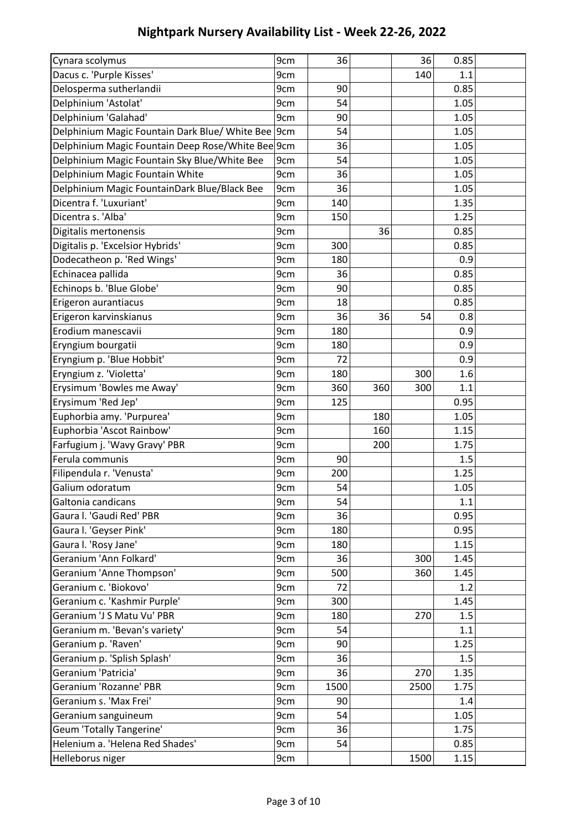| Cynara scolymus                                    | 9cm | 36   |     | 36   | 0.85 |  |
|----------------------------------------------------|-----|------|-----|------|------|--|
| Dacus c. 'Purple Kisses'                           | 9cm |      |     | 140  | 1.1  |  |
| Delosperma sutherlandii                            | 9cm | 90   |     |      | 0.85 |  |
| Delphinium 'Astolat'                               | 9cm | 54   |     |      | 1.05 |  |
| Delphinium 'Galahad'                               | 9cm | 90   |     |      | 1.05 |  |
| Delphinium Magic Fountain Dark Blue/ White Bee 9cm |     | 54   |     |      | 1.05 |  |
| Delphinium Magic Fountain Deep Rose/White Bee 9cm  |     | 36   |     |      | 1.05 |  |
| Delphinium Magic Fountain Sky Blue/White Bee       | 9cm | 54   |     |      | 1.05 |  |
| Delphinium Magic Fountain White                    | 9cm | 36   |     |      | 1.05 |  |
| Delphinium Magic FountainDark Blue/Black Bee       | 9cm | 36   |     |      | 1.05 |  |
| Dicentra f. 'Luxuriant'                            | 9cm | 140  |     |      | 1.35 |  |
| Dicentra s. 'Alba'                                 | 9cm | 150  |     |      | 1.25 |  |
| Digitalis mertonensis                              | 9cm |      | 36  |      | 0.85 |  |
| Digitalis p. 'Excelsior Hybrids'                   | 9cm | 300  |     |      | 0.85 |  |
| Dodecatheon p. 'Red Wings'                         | 9cm | 180  |     |      | 0.9  |  |
| Echinacea pallida                                  | 9cm | 36   |     |      | 0.85 |  |
| Echinops b. 'Blue Globe'                           | 9cm | 90   |     |      | 0.85 |  |
| Erigeron aurantiacus                               | 9cm | 18   |     |      | 0.85 |  |
| Erigeron karvinskianus                             | 9cm | 36   | 36  | 54   | 0.8  |  |
| Erodium manescavii                                 | 9cm | 180  |     |      | 0.9  |  |
| Eryngium bourgatii                                 | 9cm | 180  |     |      | 0.9  |  |
| Eryngium p. 'Blue Hobbit'                          | 9cm | 72   |     |      | 0.9  |  |
| Eryngium z. 'Violetta'                             | 9cm | 180  |     | 300  | 1.6  |  |
| Erysimum 'Bowles me Away'                          | 9cm | 360  | 360 | 300  | 1.1  |  |
| Erysimum 'Red Jep'                                 | 9cm | 125  |     |      | 0.95 |  |
| Euphorbia amy. 'Purpurea'                          | 9cm |      | 180 |      | 1.05 |  |
| Euphorbia 'Ascot Rainbow'                          | 9cm |      | 160 |      | 1.15 |  |
| Farfugium j. 'Wavy Gravy' PBR                      | 9cm |      | 200 |      | 1.75 |  |
| Ferula communis                                    | 9cm | 90   |     |      | 1.5  |  |
| Filipendula r. 'Venusta'                           | 9cm | 200  |     |      | 1.25 |  |
| Galium odoratum                                    | 9cm | 54   |     |      | 1.05 |  |
| Galtonia candicans                                 | 9cm | 54   |     |      | 1.1  |  |
| Gaura I. 'Gaudi Red' PBR                           | 9cm | 36   |     |      | 0.95 |  |
| Gaura I. 'Geyser Pink'                             | 9cm | 180  |     |      | 0.95 |  |
| Gaura I. 'Rosy Jane'                               | 9cm | 180  |     |      | 1.15 |  |
| Geranium 'Ann Folkard'                             | 9cm | 36   |     | 300  | 1.45 |  |
| Geranium 'Anne Thompson'                           | 9cm | 500  |     | 360  | 1.45 |  |
| Geranium c. 'Biokovo'                              | 9cm | 72   |     |      | 1.2  |  |
| Geranium c. 'Kashmir Purple'                       | 9cm | 300  |     |      | 1.45 |  |
| Geranium 'J S Matu Vu' PBR                         | 9cm | 180  |     | 270  | 1.5  |  |
| Geranium m. 'Bevan's variety'                      | 9cm | 54   |     |      | 1.1  |  |
| Geranium p. 'Raven'                                | 9cm | 90   |     |      | 1.25 |  |
| Geranium p. 'Splish Splash'                        | 9cm | 36   |     |      | 1.5  |  |
| Geranium 'Patricia'                                | 9cm | 36   |     | 270  | 1.35 |  |
| Geranium 'Rozanne' PBR                             | 9cm | 1500 |     | 2500 | 1.75 |  |
| Geranium s. 'Max Frei'                             | 9cm | 90   |     |      | 1.4  |  |
| Geranium sanguineum                                | 9cm | 54   |     |      | 1.05 |  |
| <b>Geum 'Totally Tangerine'</b>                    | 9cm | 36   |     |      | 1.75 |  |
| Helenium a. 'Helena Red Shades'                    | 9cm | 54   |     |      | 0.85 |  |
| Helleborus niger                                   | 9cm |      |     | 1500 | 1.15 |  |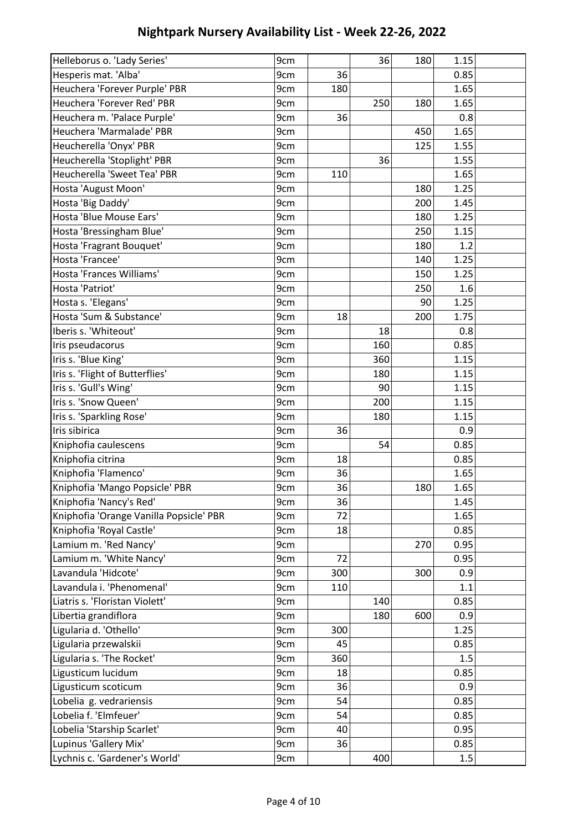| Helleborus o. 'Lady Series'             | 9cm |     | 36  | 180 | 1.15 |  |
|-----------------------------------------|-----|-----|-----|-----|------|--|
| Hesperis mat. 'Alba'                    | 9cm | 36  |     |     | 0.85 |  |
| Heuchera 'Forever Purple' PBR           | 9cm | 180 |     |     | 1.65 |  |
| Heuchera 'Forever Red' PBR              | 9cm |     | 250 | 180 | 1.65 |  |
| Heuchera m. 'Palace Purple'             | 9cm | 36  |     |     | 0.8  |  |
| Heuchera 'Marmalade' PBR                | 9cm |     |     | 450 | 1.65 |  |
| Heucherella 'Onyx' PBR                  | 9cm |     |     | 125 | 1.55 |  |
| Heucherella 'Stoplight' PBR             | 9cm |     | 36  |     | 1.55 |  |
| Heucherella 'Sweet Tea' PBR             | 9cm | 110 |     |     | 1.65 |  |
| Hosta 'August Moon'                     | 9cm |     |     | 180 | 1.25 |  |
| Hosta 'Big Daddy'                       | 9cm |     |     | 200 | 1.45 |  |
| Hosta 'Blue Mouse Ears'                 | 9cm |     |     | 180 | 1.25 |  |
| Hosta 'Bressingham Blue'                | 9cm |     |     | 250 | 1.15 |  |
| Hosta 'Fragrant Bouquet'                | 9cm |     |     | 180 | 1.2  |  |
| Hosta 'Francee'                         | 9cm |     |     | 140 | 1.25 |  |
| Hosta 'Frances Williams'                | 9cm |     |     | 150 | 1.25 |  |
| Hosta 'Patriot'                         | 9cm |     |     | 250 | 1.6  |  |
| Hosta s. 'Elegans'                      | 9cm |     |     | 90  | 1.25 |  |
| Hosta 'Sum & Substance'                 | 9cm | 18  |     | 200 | 1.75 |  |
| Iberis s. 'Whiteout'                    | 9cm |     | 18  |     | 0.8  |  |
| Iris pseudacorus                        | 9cm |     | 160 |     | 0.85 |  |
| Iris s. 'Blue King'                     | 9cm |     | 360 |     | 1.15 |  |
| Iris s. 'Flight of Butterflies'         | 9cm |     | 180 |     | 1.15 |  |
| Iris s. 'Gull's Wing'                   | 9cm |     | 90  |     | 1.15 |  |
| Iris s. 'Snow Queen'                    | 9cm |     | 200 |     | 1.15 |  |
| Iris s. 'Sparkling Rose'                | 9cm |     | 180 |     | 1.15 |  |
| Iris sibirica                           | 9cm | 36  |     |     | 0.9  |  |
| Kniphofia caulescens                    | 9cm |     | 54  |     | 0.85 |  |
| Kniphofia citrina                       | 9cm | 18  |     |     | 0.85 |  |
| Kniphofia 'Flamenco'                    | 9cm | 36  |     |     | 1.65 |  |
| Kniphofia 'Mango Popsicle' PBR          | 9cm | 36  |     | 180 | 1.65 |  |
| Kniphofia 'Nancy's Red'                 | 9cm | 36  |     |     | 1.45 |  |
| Kniphofia 'Orange Vanilla Popsicle' PBR | 9cm | 72  |     |     | 1.65 |  |
| Kniphofia 'Royal Castle'                | 9cm | 18  |     |     | 0.85 |  |
| Lamium m. 'Red Nancy'                   | 9cm |     |     | 270 | 0.95 |  |
| Lamium m. 'White Nancy'                 | 9cm | 72  |     |     | 0.95 |  |
| Lavandula 'Hidcote'                     | 9cm | 300 |     | 300 | 0.9  |  |
| Lavandula i. 'Phenomenal'               | 9cm | 110 |     |     | 1.1  |  |
| Liatris s. 'Floristan Violett'          | 9cm |     | 140 |     | 0.85 |  |
| Libertia grandiflora                    | 9cm |     | 180 | 600 | 0.9  |  |
| Ligularia d. 'Othello'                  | 9cm | 300 |     |     | 1.25 |  |
| Ligularia przewalskii                   | 9cm | 45  |     |     | 0.85 |  |
| Ligularia s. 'The Rocket'               | 9cm | 360 |     |     | 1.5  |  |
| Ligusticum lucidum                      | 9cm | 18  |     |     | 0.85 |  |
| Ligusticum scoticum                     | 9cm | 36  |     |     | 0.9  |  |
| Lobelia g. vedrariensis                 | 9cm | 54  |     |     | 0.85 |  |
| Lobelia f. 'Elmfeuer'                   | 9cm | 54  |     |     | 0.85 |  |
| Lobelia 'Starship Scarlet'              | 9cm | 40  |     |     | 0.95 |  |
| Lupinus 'Gallery Mix'                   | 9cm | 36  |     |     | 0.85 |  |
| Lychnis c. 'Gardener's World'           | 9cm |     | 400 |     | 1.5  |  |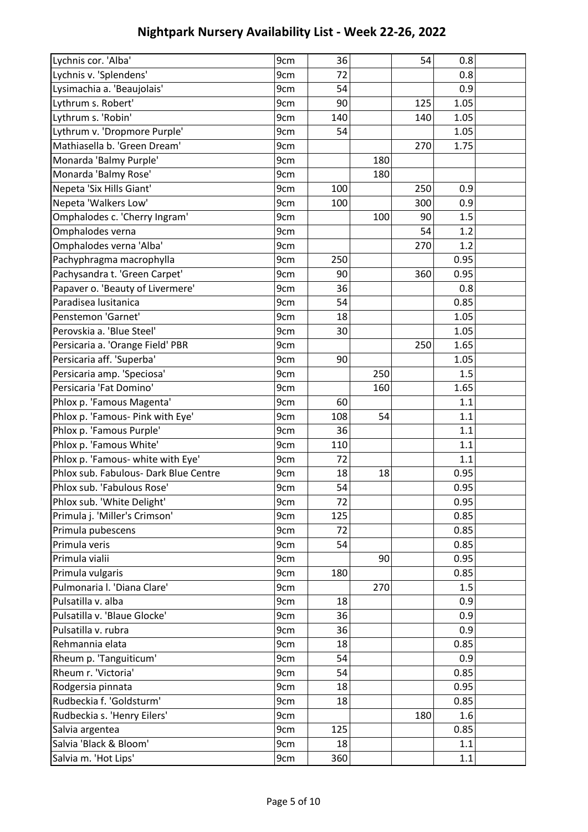| Lychnis cor. 'Alba'                   | 9cm | 36  |     | 54  | 0.8  |  |
|---------------------------------------|-----|-----|-----|-----|------|--|
| Lychnis v. 'Splendens'                | 9cm | 72  |     |     | 0.8  |  |
| Lysimachia a. 'Beaujolais'            | 9cm | 54  |     |     | 0.9  |  |
| Lythrum s. Robert'                    | 9cm | 90  |     | 125 | 1.05 |  |
| Lythrum s. 'Robin'                    | 9cm | 140 |     | 140 | 1.05 |  |
| Lythrum v. 'Dropmore Purple'          | 9cm | 54  |     |     | 1.05 |  |
| Mathiasella b. 'Green Dream'          | 9cm |     |     | 270 | 1.75 |  |
| Monarda 'Balmy Purple'                | 9cm |     | 180 |     |      |  |
| Monarda 'Balmy Rose'                  | 9cm |     | 180 |     |      |  |
| Nepeta 'Six Hills Giant'              | 9cm | 100 |     | 250 | 0.9  |  |
| Nepeta 'Walkers Low'                  | 9cm | 100 |     | 300 | 0.9  |  |
| Omphalodes c. 'Cherry Ingram'         | 9cm |     | 100 | 90  | 1.5  |  |
| Omphalodes verna                      | 9cm |     |     | 54  | 1.2  |  |
| Omphalodes verna 'Alba'               | 9cm |     |     | 270 | 1.2  |  |
| Pachyphragma macrophylla              | 9cm | 250 |     |     | 0.95 |  |
| Pachysandra t. 'Green Carpet'         | 9cm | 90  |     | 360 | 0.95 |  |
| Papaver o. 'Beauty of Livermere'      | 9cm | 36  |     |     | 0.8  |  |
| Paradisea lusitanica                  | 9cm | 54  |     |     | 0.85 |  |
| Penstemon 'Garnet'                    | 9cm | 18  |     |     | 1.05 |  |
| Perovskia a. 'Blue Steel'             | 9cm | 30  |     |     | 1.05 |  |
| Persicaria a. 'Orange Field' PBR      | 9cm |     |     | 250 | 1.65 |  |
| Persicaria aff. 'Superba'             | 9cm | 90  |     |     | 1.05 |  |
| Persicaria amp. 'Speciosa'            | 9cm |     | 250 |     | 1.5  |  |
| Persicaria 'Fat Domino'               | 9cm |     | 160 |     | 1.65 |  |
| Phlox p. 'Famous Magenta'             | 9cm | 60  |     |     | 1.1  |  |
| Phlox p. 'Famous- Pink with Eye'      | 9cm | 108 | 54  |     | 1.1  |  |
| Phlox p. 'Famous Purple'              | 9cm | 36  |     |     | 1.1  |  |
| Phlox p. 'Famous White'               | 9cm | 110 |     |     | 1.1  |  |
| Phlox p. 'Famous- white with Eye'     | 9cm | 72  |     |     | 1.1  |  |
| Phlox sub. Fabulous- Dark Blue Centre | 9cm | 18  | 18  |     | 0.95 |  |
| Phlox sub. 'Fabulous Rose'            | 9cm | 54  |     |     | 0.95 |  |
| Phlox sub. 'White Delight'            | 9cm | 72  |     |     | 0.95 |  |
| Primula j. 'Miller's Crimson'         | 9cm | 125 |     |     | 0.85 |  |
| Primula pubescens                     | 9cm | 72  |     |     | 0.85 |  |
| Primula veris                         | 9cm | 54  |     |     | 0.85 |  |
| Primula vialii                        | 9cm |     | 90  |     | 0.95 |  |
| Primula vulgaris                      | 9cm | 180 |     |     | 0.85 |  |
| Pulmonaria I. 'Diana Clare'           | 9cm |     | 270 |     | 1.5  |  |
| Pulsatilla v. alba                    | 9cm | 18  |     |     | 0.9  |  |
| Pulsatilla v. 'Blaue Glocke'          | 9cm | 36  |     |     | 0.9  |  |
| Pulsatilla v. rubra                   | 9cm | 36  |     |     | 0.9  |  |
| Rehmannia elata                       | 9cm | 18  |     |     | 0.85 |  |
| Rheum p. 'Tanguiticum'                | 9cm | 54  |     |     | 0.9  |  |
| Rheum r. 'Victoria'                   | 9cm | 54  |     |     | 0.85 |  |
| Rodgersia pinnata                     | 9cm | 18  |     |     | 0.95 |  |
| Rudbeckia f. 'Goldsturm'              | 9cm | 18  |     |     | 0.85 |  |
| Rudbeckia s. 'Henry Eilers'           | 9cm |     |     | 180 | 1.6  |  |
| Salvia argentea                       | 9cm | 125 |     |     | 0.85 |  |
| Salvia 'Black & Bloom'                | 9cm | 18  |     |     | 1.1  |  |
| Salvia m. 'Hot Lips'                  | 9cm | 360 |     |     | 1.1  |  |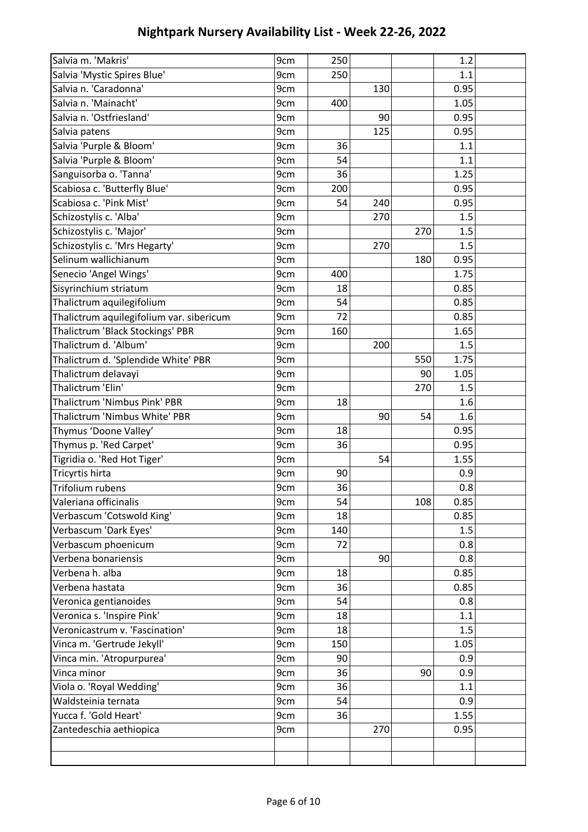| Salvia m. 'Makris'                       | 9cm | 250 |     |     | 1.2          |  |
|------------------------------------------|-----|-----|-----|-----|--------------|--|
| Salvia 'Mystic Spires Blue'              | 9cm | 250 |     |     | 1.1          |  |
| Salvia n. 'Caradonna'                    | 9cm |     | 130 |     | 0.95         |  |
| Salvia n. 'Mainacht'                     | 9cm | 400 |     |     | 1.05         |  |
| Salvia n. 'Ostfriesland'                 | 9cm |     | 90  |     | 0.95         |  |
| Salvia patens                            | 9cm |     | 125 |     | 0.95         |  |
| Salvia 'Purple & Bloom'                  | 9cm | 36  |     |     | 1.1          |  |
| Salvia 'Purple & Bloom'                  | 9cm | 54  |     |     | 1.1          |  |
| Sanguisorba o. 'Tanna'                   | 9cm | 36  |     |     | 1.25         |  |
| Scabiosa c. 'Butterfly Blue'             | 9cm | 200 |     |     | 0.95         |  |
| Scabiosa c. 'Pink Mist'                  | 9cm | 54  | 240 |     | 0.95         |  |
| Schizostylis c. 'Alba'                   | 9cm |     | 270 |     | 1.5          |  |
| Schizostylis c. 'Major'                  | 9cm |     |     | 270 | 1.5          |  |
| Schizostylis c. 'Mrs Hegarty'            | 9cm |     | 270 |     | 1.5          |  |
| Selinum wallichianum                     | 9cm |     |     | 180 | 0.95         |  |
| Senecio 'Angel Wings'                    | 9cm | 400 |     |     | 1.75         |  |
| Sisyrinchium striatum                    | 9cm | 18  |     |     | 0.85         |  |
| Thalictrum aquilegifolium                | 9cm | 54  |     |     | 0.85         |  |
| Thalictrum aquilegifolium var. sibericum | 9cm | 72  |     |     | 0.85         |  |
| Thalictrum 'Black Stockings' PBR         | 9cm | 160 |     |     | 1.65         |  |
| Thalictrum d. 'Album'                    | 9cm |     | 200 |     | 1.5          |  |
| Thalictrum d. 'Splendide White' PBR      | 9cm |     |     | 550 | 1.75         |  |
| Thalictrum delavayi                      | 9cm |     |     | 90  | 1.05         |  |
| Thalictrum 'Elin'                        | 9cm |     |     | 270 | 1.5          |  |
| Thalictrum 'Nimbus Pink' PBR             | 9cm | 18  |     |     | 1.6          |  |
| Thalictrum 'Nimbus White' PBR            | 9cm |     | 90  | 54  | 1.6          |  |
| Thymus 'Doone Valley'                    | 9cm | 18  |     |     | 0.95         |  |
| Thymus p. 'Red Carpet'                   | 9cm | 36  |     |     | 0.95         |  |
| Tigridia o. 'Red Hot Tiger'              | 9cm |     | 54  |     | 1.55         |  |
| Tricyrtis hirta                          | 9cm | 90  |     |     | 0.9          |  |
| <b>Trifolium rubens</b>                  | 9cm | 36  |     |     | 0.8          |  |
| Valeriana officinalis                    | 9cm | 54  |     | 108 | 0.85         |  |
| Verbascum 'Cotswold King'                | 9cm | 18  |     |     | 0.85         |  |
| Verbascum 'Dark Eyes'                    | 9cm | 140 |     |     | 1.5          |  |
| Verbascum phoenicum                      | 9cm | 72  |     |     | 0.8          |  |
| Verbena bonariensis                      | 9cm |     | 90  |     | 0.8          |  |
| Verbena h. alba                          | 9cm | 18  |     |     | 0.85         |  |
| Verbena hastata                          | 9cm | 36  |     |     | 0.85         |  |
| Veronica gentianoides                    | 9cm | 54  |     |     | 0.8          |  |
| Veronica s. 'Inspire Pink'               | 9cm | 18  |     |     | 1.1          |  |
| Veronicastrum v. 'Fascination'           | 9cm | 18  |     |     | 1.5          |  |
| Vinca m. 'Gertrude Jekyll'               | 9cm | 150 |     |     | 1.05         |  |
| Vinca min. 'Atropurpurea'                | 9cm | 90  |     |     | 0.9          |  |
| Vinca minor                              | 9cm | 36  |     | 90  | 0.9          |  |
| Viola o. 'Royal Wedding'                 | 9cm | 36  |     |     | 1.1          |  |
| Waldsteinia ternata                      |     | 54  |     |     | 0.9          |  |
| Yucca f. 'Gold Heart'                    | 9cm |     |     |     |              |  |
| Zantedeschia aethiopica                  | 9cm | 36  | 270 |     | 1.55<br>0.95 |  |
|                                          | 9cm |     |     |     |              |  |
|                                          |     |     |     |     |              |  |
|                                          |     |     |     |     |              |  |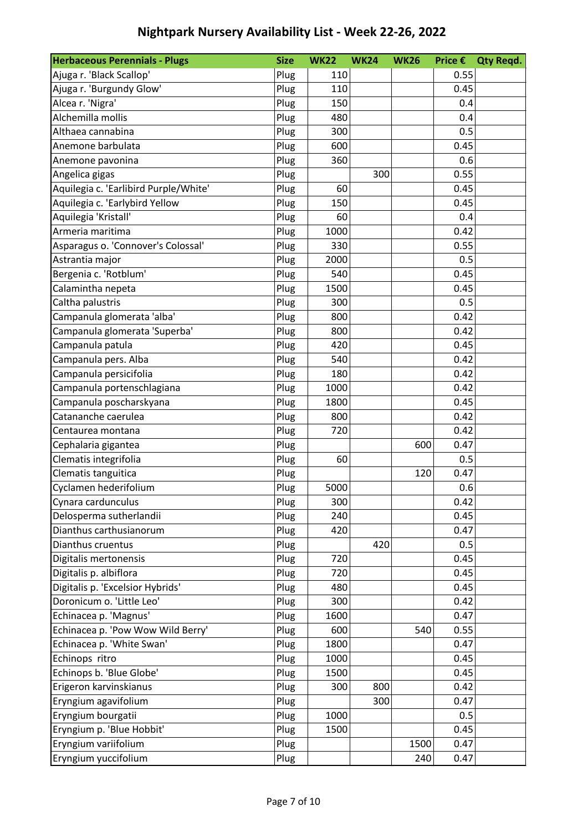| <b>Herbaceous Perennials - Plugs</b>  | <b>Size</b> | <b>WK22</b> | <b>WK24</b> | <b>WK26</b> | Price $\epsilon$ | <b>Qty Regd.</b> |
|---------------------------------------|-------------|-------------|-------------|-------------|------------------|------------------|
| Ajuga r. 'Black Scallop'              | Plug        | 110         |             |             | 0.55             |                  |
| Ajuga r. 'Burgundy Glow'              | Plug        | 110         |             |             | 0.45             |                  |
| Alcea r. 'Nigra'                      | Plug        | 150         |             |             | 0.4              |                  |
| Alchemilla mollis                     | Plug        | 480         |             |             | 0.4              |                  |
| Althaea cannabina                     | Plug        | 300         |             |             | 0.5              |                  |
| Anemone barbulata                     | Plug        | 600         |             |             | 0.45             |                  |
| Anemone pavonina                      | Plug        | 360         |             |             | 0.6              |                  |
| Angelica gigas                        | Plug        |             | 300         |             | 0.55             |                  |
| Aquilegia c. 'Earlibird Purple/White' | Plug        | 60          |             |             | 0.45             |                  |
| Aquilegia c. 'Earlybird Yellow        | Plug        | 150         |             |             | 0.45             |                  |
| Aquilegia 'Kristall'                  | Plug        | 60          |             |             | 0.4              |                  |
| Armeria maritima                      | Plug        | 1000        |             |             | 0.42             |                  |
| Asparagus o. 'Connover's Colossal'    | Plug        | 330         |             |             | 0.55             |                  |
| Astrantia major                       | Plug        | 2000        |             |             | 0.5              |                  |
| Bergenia c. 'Rotblum'                 | Plug        | 540         |             |             | 0.45             |                  |
| Calamintha nepeta                     | Plug        | 1500        |             |             | 0.45             |                  |
| Caltha palustris                      | Plug        | 300         |             |             | 0.5              |                  |
| Campanula glomerata 'alba'            | Plug        | 800         |             |             | 0.42             |                  |
| Campanula glomerata 'Superba'         | Plug        | 800         |             |             | 0.42             |                  |
| Campanula patula                      | Plug        | 420         |             |             | 0.45             |                  |
| Campanula pers. Alba                  | Plug        | 540         |             |             | 0.42             |                  |
| Campanula persicifolia                | Plug        | 180         |             |             | 0.42             |                  |
| Campanula portenschlagiana            | Plug        | 1000        |             |             | 0.42             |                  |
| Campanula poscharskyana               | Plug        | 1800        |             |             | 0.45             |                  |
| Catananche caerulea                   | Plug        | 800         |             |             | 0.42             |                  |
| Centaurea montana                     | Plug        | 720         |             |             | 0.42             |                  |
| Cephalaria gigantea                   | Plug        |             |             | 600         | 0.47             |                  |
| Clematis integrifolia                 | Plug        | 60          |             |             | 0.5              |                  |
| Clematis tanguitica                   | Plug        |             |             | 120         | 0.47             |                  |
| Cyclamen hederifolium                 | Plug        | 5000        |             |             | 0.6              |                  |
| Cynara cardunculus                    | Plug        | 300         |             |             | 0.42             |                  |
| Delosperma sutherlandii               | Plug        | 240         |             |             | 0.45             |                  |
| Dianthus carthusianorum               | Plug        | 420         |             |             | 0.47             |                  |
| Dianthus cruentus                     | Plug        |             | 420         |             | 0.5              |                  |
| Digitalis mertonensis                 | Plug        | 720         |             |             | 0.45             |                  |
| Digitalis p. albiflora                | Plug        | 720         |             |             | 0.45             |                  |
| Digitalis p. 'Excelsior Hybrids'      | Plug        | 480         |             |             | 0.45             |                  |
| Doronicum o. 'Little Leo'             | Plug        | 300         |             |             | 0.42             |                  |
| Echinacea p. 'Magnus'                 | Plug        | 1600        |             |             | 0.47             |                  |
| Echinacea p. 'Pow Wow Wild Berry'     | Plug        | 600         |             | 540         | 0.55             |                  |
| Echinacea p. 'White Swan'             | Plug        | 1800        |             |             | 0.47             |                  |
| Echinops ritro                        | Plug        | 1000        |             |             | 0.45             |                  |
| Echinops b. 'Blue Globe'              | Plug        | 1500        |             |             | 0.45             |                  |
| Erigeron karvinskianus                | Plug        | 300         | 800         |             | 0.42             |                  |
| Eryngium agavifolium                  | Plug        |             | 300         |             | 0.47             |                  |
| Eryngium bourgatii                    | Plug        | 1000        |             |             | 0.5              |                  |
| Eryngium p. 'Blue Hobbit'             | Plug        | 1500        |             |             | 0.45             |                  |
| Eryngium variifolium                  | Plug        |             |             | 1500        | 0.47             |                  |
| Eryngium yuccifolium                  | Plug        |             |             | 240         | 0.47             |                  |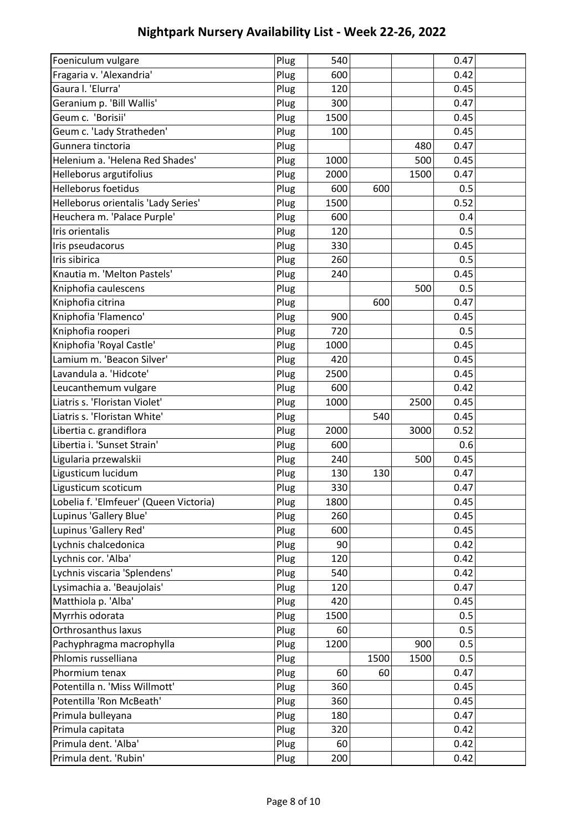| Foeniculum vulgare                     | Plug | 540  |      |      | 0.47 |  |
|----------------------------------------|------|------|------|------|------|--|
| Fragaria v. 'Alexandria'               | Plug | 600  |      |      | 0.42 |  |
| Gaura I. 'Elurra'                      | Plug | 120  |      |      | 0.45 |  |
| Geranium p. 'Bill Wallis'              | Plug | 300  |      |      | 0.47 |  |
| Geum c. 'Borisii'                      | Plug | 1500 |      |      | 0.45 |  |
| Geum c. 'Lady Stratheden'              | Plug | 100  |      |      | 0.45 |  |
| Gunnera tinctoria                      | Plug |      |      | 480  | 0.47 |  |
| Helenium a. 'Helena Red Shades'        | Plug | 1000 |      | 500  | 0.45 |  |
| Helleborus argutifolius                | Plug | 2000 |      | 1500 | 0.47 |  |
| <b>Helleborus foetidus</b>             | Plug | 600  | 600  |      | 0.5  |  |
| Helleborus orientalis 'Lady Series'    | Plug | 1500 |      |      | 0.52 |  |
| Heuchera m. 'Palace Purple'            | Plug | 600  |      |      | 0.4  |  |
| Iris orientalis                        | Plug | 120  |      |      | 0.5  |  |
| Iris pseudacorus                       | Plug | 330  |      |      | 0.45 |  |
| Iris sibirica                          | Plug | 260  |      |      | 0.5  |  |
| Knautia m. 'Melton Pastels'            | Plug | 240  |      |      | 0.45 |  |
| Kniphofia caulescens                   | Plug |      |      | 500  | 0.5  |  |
| Kniphofia citrina                      | Plug |      | 600  |      | 0.47 |  |
| Kniphofia 'Flamenco'                   | Plug | 900  |      |      | 0.45 |  |
| Kniphofia rooperi                      | Plug | 720  |      |      | 0.5  |  |
| Kniphofia 'Royal Castle'               | Plug | 1000 |      |      | 0.45 |  |
| Lamium m. 'Beacon Silver'              | Plug | 420  |      |      | 0.45 |  |
| Lavandula a. 'Hidcote'                 | Plug | 2500 |      |      | 0.45 |  |
| Leucanthemum vulgare                   | Plug | 600  |      |      | 0.42 |  |
| Liatris s. 'Floristan Violet'          | Plug | 1000 |      | 2500 | 0.45 |  |
| Liatris s. 'Floristan White'           | Plug |      | 540  |      | 0.45 |  |
| Libertia c. grandiflora                | Plug | 2000 |      | 3000 | 0.52 |  |
| Libertia i. 'Sunset Strain'            | Plug | 600  |      |      | 0.6  |  |
| Ligularia przewalskii                  | Plug | 240  |      | 500  | 0.45 |  |
| Ligusticum lucidum                     | Plug | 130  | 130  |      | 0.47 |  |
| Ligusticum scoticum                    | Plug | 330  |      |      | 0.47 |  |
| Lobelia f. 'Elmfeuer' (Queen Victoria) | Plug | 1800 |      |      | 0.45 |  |
| Lupinus 'Gallery Blue'                 | Plug | 260  |      |      | 0.45 |  |
| Lupinus 'Gallery Red'                  | Plug | 600  |      |      | 0.45 |  |
| Lychnis chalcedonica                   | Plug | 90   |      |      | 0.42 |  |
| Lychnis cor. 'Alba'                    | Plug | 120  |      |      | 0.42 |  |
| Lychnis viscaria 'Splendens'           | Plug | 540  |      |      | 0.42 |  |
| Lysimachia a. 'Beaujolais'             | Plug | 120  |      |      | 0.47 |  |
| Matthiola p. 'Alba'                    | Plug | 420  |      |      | 0.45 |  |
| Myrrhis odorata                        | Plug | 1500 |      |      | 0.5  |  |
| Orthrosanthus laxus                    | Plug | 60   |      |      | 0.5  |  |
| Pachyphragma macrophylla               | Plug | 1200 |      | 900  | 0.5  |  |
| Phlomis russelliana                    | Plug |      | 1500 | 1500 | 0.5  |  |
| Phormium tenax                         | Plug | 60   | 60   |      | 0.47 |  |
| Potentilla n. 'Miss Willmott'          | Plug | 360  |      |      | 0.45 |  |
| Potentilla 'Ron McBeath'               | Plug | 360  |      |      | 0.45 |  |
| Primula bulleyana                      | Plug | 180  |      |      | 0.47 |  |
| Primula capitata                       | Plug | 320  |      |      | 0.42 |  |
| Primula dent. 'Alba'                   | Plug | 60   |      |      | 0.42 |  |
| Primula dent. 'Rubin'                  | Plug | 200  |      |      | 0.42 |  |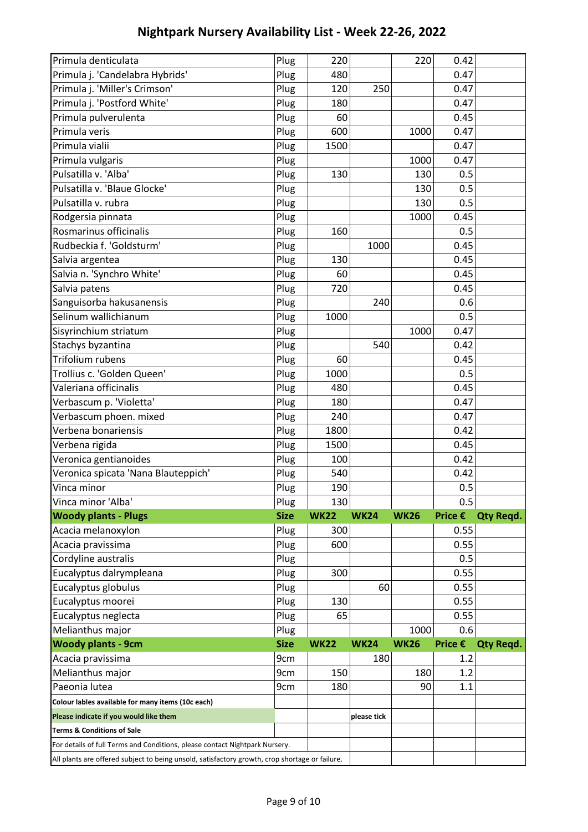| Primula denticulata                                                                                                                                                           | Plug        | 220         |             | 220         | 0.42    |                  |
|-------------------------------------------------------------------------------------------------------------------------------------------------------------------------------|-------------|-------------|-------------|-------------|---------|------------------|
| Primula j. 'Candelabra Hybrids'                                                                                                                                               | Plug        | 480         |             |             | 0.47    |                  |
| Primula j. 'Miller's Crimson'                                                                                                                                                 | Plug        | 120         | 250         |             | 0.47    |                  |
| Primula j. 'Postford White'                                                                                                                                                   | Plug        | 180         |             |             | 0.47    |                  |
| Primula pulverulenta                                                                                                                                                          | Plug        | 60          |             |             | 0.45    |                  |
| Primula veris                                                                                                                                                                 | Plug        | 600         |             | 1000        | 0.47    |                  |
| Primula vialii                                                                                                                                                                | Plug        | 1500        |             |             | 0.47    |                  |
| Primula vulgaris                                                                                                                                                              | Plug        |             |             | 1000        | 0.47    |                  |
| Pulsatilla v. 'Alba'                                                                                                                                                          | Plug        | 130         |             | 130         | 0.5     |                  |
| Pulsatilla v. 'Blaue Glocke'                                                                                                                                                  | Plug        |             |             | 130         | 0.5     |                  |
| Pulsatilla v. rubra                                                                                                                                                           | Plug        |             |             | 130         | 0.5     |                  |
| Rodgersia pinnata                                                                                                                                                             | Plug        |             |             | 1000        | 0.45    |                  |
| Rosmarinus officinalis                                                                                                                                                        | Plug        | 160         |             |             | 0.5     |                  |
| Rudbeckia f. 'Goldsturm'                                                                                                                                                      | Plug        |             | 1000        |             | 0.45    |                  |
| Salvia argentea                                                                                                                                                               | Plug        | 130         |             |             | 0.45    |                  |
| Salvia n. 'Synchro White'                                                                                                                                                     | Plug        | 60          |             |             | 0.45    |                  |
| Salvia patens                                                                                                                                                                 | Plug        | 720         |             |             | 0.45    |                  |
| Sanguisorba hakusanensis                                                                                                                                                      | Plug        |             | 240         |             | 0.6     |                  |
| Selinum wallichianum                                                                                                                                                          | Plug        | 1000        |             |             | 0.5     |                  |
| Sisyrinchium striatum                                                                                                                                                         | Plug        |             |             | 1000        | 0.47    |                  |
| Stachys byzantina                                                                                                                                                             | Plug        |             | 540         |             | 0.42    |                  |
| <b>Trifolium rubens</b>                                                                                                                                                       | Plug        | 60          |             |             | 0.45    |                  |
| Trollius c. 'Golden Queen'                                                                                                                                                    | Plug        | 1000        |             |             | 0.5     |                  |
| Valeriana officinalis                                                                                                                                                         | Plug        | 480         |             |             | 0.45    |                  |
| Verbascum p. 'Violetta'                                                                                                                                                       | Plug        | 180         |             |             | 0.47    |                  |
| Verbascum phoen. mixed                                                                                                                                                        | Plug        | 240         |             |             | 0.47    |                  |
| Verbena bonariensis                                                                                                                                                           | Plug        | 1800        |             |             | 0.42    |                  |
| Verbena rigida                                                                                                                                                                | Plug        | 1500        |             |             | 0.45    |                  |
| Veronica gentianoides                                                                                                                                                         | Plug        | 100         |             |             | 0.42    |                  |
| Veronica spicata 'Nana Blauteppich'                                                                                                                                           | Plug        | 540         |             |             | 0.42    |                  |
| Vinca minor                                                                                                                                                                   | Plug        | 190         |             |             | 0.5     |                  |
| Vinca minor 'Alba'                                                                                                                                                            | Plug        | 130         |             |             | 0.5     |                  |
| <b>Woody plants - Plugs</b>                                                                                                                                                   | <b>Size</b> | <b>WK22</b> | <b>WK24</b> | <b>WK26</b> | Price € | <b>Qty Regd.</b> |
| Acacia melanoxylon                                                                                                                                                            | Plug        | 300         |             |             | 0.55    |                  |
| Acacia pravissima                                                                                                                                                             | Plug        | 600         |             |             | 0.55    |                  |
| Cordyline australis                                                                                                                                                           | Plug        |             |             |             | 0.5     |                  |
| Eucalyptus dalrympleana                                                                                                                                                       | Plug        | 300         |             |             | 0.55    |                  |
| Eucalyptus globulus                                                                                                                                                           | Plug        |             | 60          |             | 0.55    |                  |
| Eucalyptus moorei                                                                                                                                                             | Plug        | 130         |             |             | 0.55    |                  |
| Eucalyptus neglecta                                                                                                                                                           |             |             |             |             |         |                  |
| Melianthus major                                                                                                                                                              | Plug        | 65          |             |             | 0.55    |                  |
|                                                                                                                                                                               | Plug        |             |             | 1000        | 0.6     |                  |
| <b>Woody plants - 9cm</b>                                                                                                                                                     | <b>Size</b> | <b>WK22</b> | <b>WK24</b> | <b>WK26</b> | Price € | <b>Qty Regd.</b> |
| Acacia pravissima                                                                                                                                                             | 9cm         |             | 180         |             | 1.2     |                  |
| Melianthus major                                                                                                                                                              | 9cm         | 150         |             | 180         | 1.2     |                  |
| Paeonia lutea                                                                                                                                                                 | 9cm         | 180         |             | 90          | 1.1     |                  |
| Colour lables available for many items (10c each)                                                                                                                             |             |             |             |             |         |                  |
| Please indicate if you would like them                                                                                                                                        |             |             | please tick |             |         |                  |
| <b>Terms &amp; Conditions of Sale</b>                                                                                                                                         |             |             |             |             |         |                  |
| For details of full Terms and Conditions, please contact Nightpark Nursery.<br>All plants are offered subject to being unsold, satisfactory growth, crop shortage or failure. |             |             |             |             |         |                  |